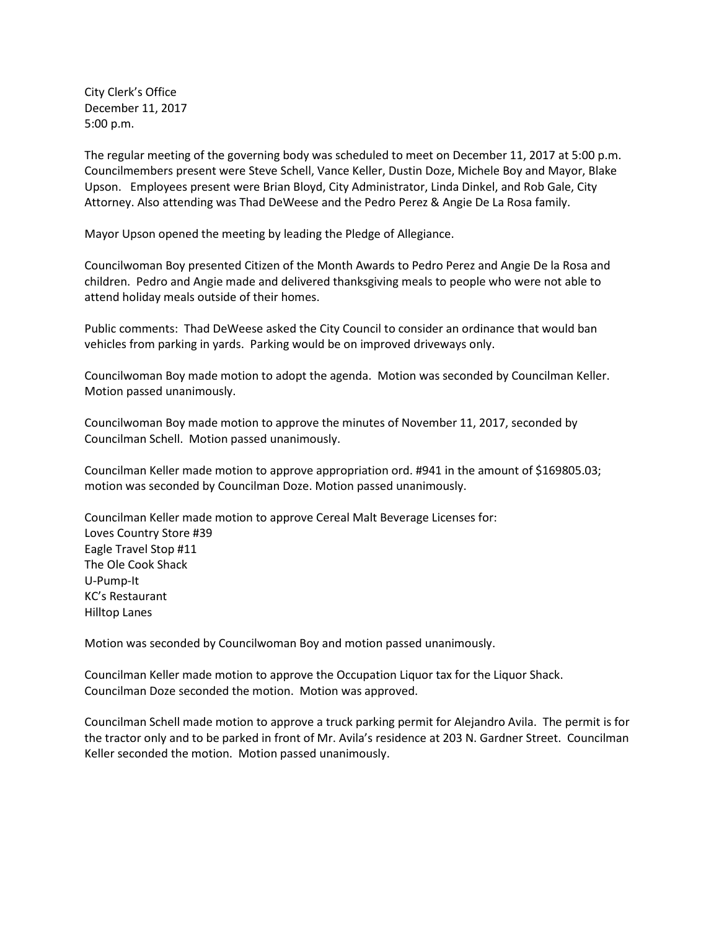City Clerk's Office December 11, 2017 5:00 p.m.

The regular meeting of the governing body was scheduled to meet on December 11, 2017 at 5:00 p.m. Councilmembers present were Steve Schell, Vance Keller, Dustin Doze, Michele Boy and Mayor, Blake Upson. Employees present were Brian Bloyd, City Administrator, Linda Dinkel, and Rob Gale, City Attorney. Also attending was Thad DeWeese and the Pedro Perez & Angie De La Rosa family.

Mayor Upson opened the meeting by leading the Pledge of Allegiance.

Councilwoman Boy presented Citizen of the Month Awards to Pedro Perez and Angie De la Rosa and children. Pedro and Angie made and delivered thanksgiving meals to people who were not able to attend holiday meals outside of their homes.

Public comments: Thad DeWeese asked the City Council to consider an ordinance that would ban vehicles from parking in yards. Parking would be on improved driveways only.

Councilwoman Boy made motion to adopt the agenda. Motion was seconded by Councilman Keller. Motion passed unanimously.

Councilwoman Boy made motion to approve the minutes of November 11, 2017, seconded by Councilman Schell. Motion passed unanimously.

Councilman Keller made motion to approve appropriation ord. #941 in the amount of \$169805.03; motion was seconded by Councilman Doze. Motion passed unanimously.

Councilman Keller made motion to approve Cereal Malt Beverage Licenses for: Loves Country Store #39 Eagle Travel Stop #11 The Ole Cook Shack U-Pump-It KC's Restaurant Hilltop Lanes

Motion was seconded by Councilwoman Boy and motion passed unanimously.

Councilman Keller made motion to approve the Occupation Liquor tax for the Liquor Shack. Councilman Doze seconded the motion. Motion was approved.

Councilman Schell made motion to approve a truck parking permit for Alejandro Avila. The permit is for the tractor only and to be parked in front of Mr. Avila's residence at 203 N. Gardner Street. Councilman Keller seconded the motion. Motion passed unanimously.